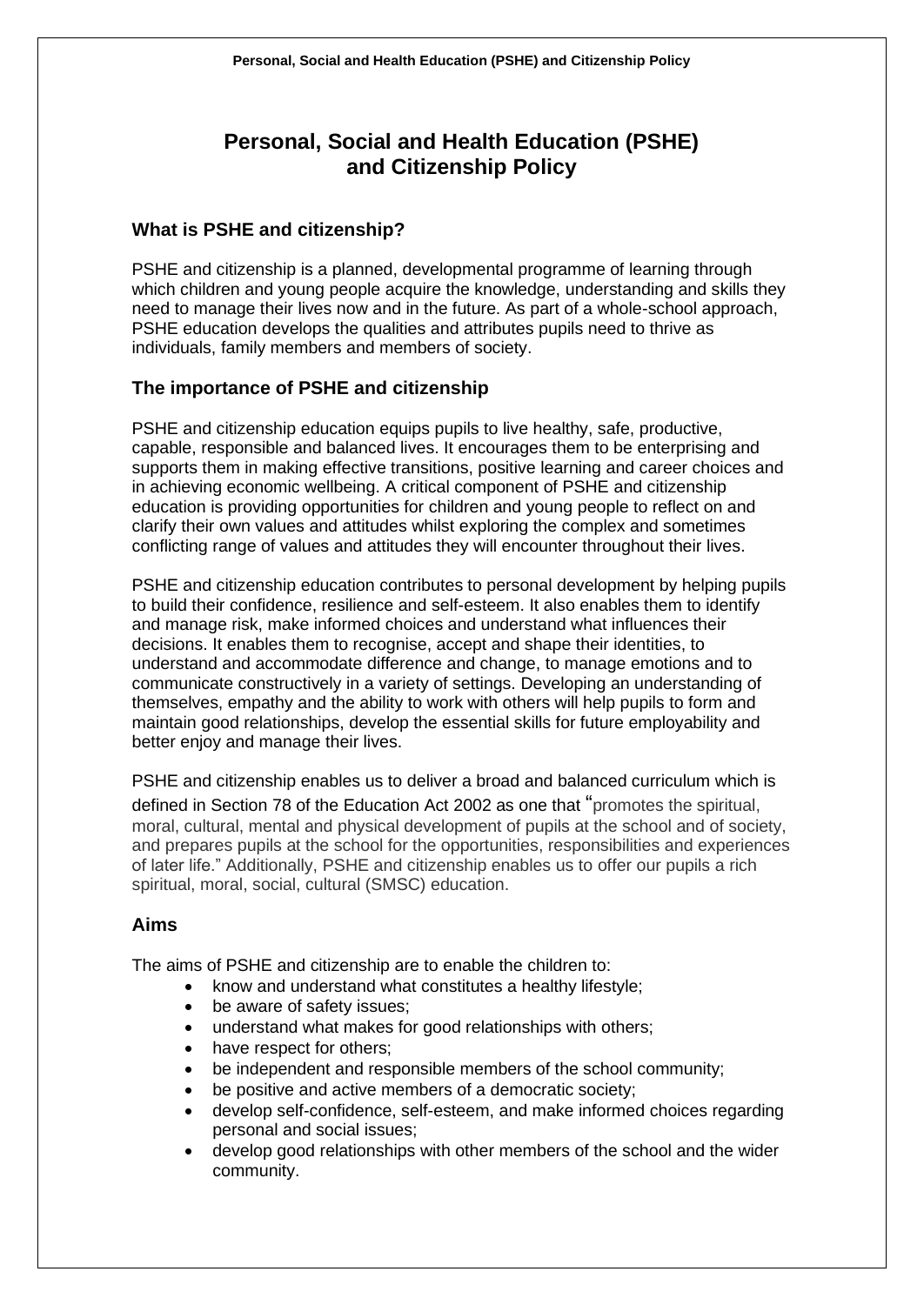# **Personal, Social and Health Education (PSHE) and Citizenship Policy**

## **What is PSHE and citizenship?**

PSHE and citizenship is a planned, developmental programme of learning through which children and young people acquire the knowledge, understanding and skills they need to manage their lives now and in the future. As part of a whole-school approach, PSHE education develops the qualities and attributes pupils need to thrive as individuals, family members and members of society.

# **The importance of PSHE and citizenship**

PSHE and citizenship education equips pupils to live healthy, safe, productive, capable, responsible and balanced lives. It encourages them to be enterprising and supports them in making effective transitions, positive learning and career choices and in achieving economic wellbeing. A critical component of PSHE and citizenship education is providing opportunities for children and young people to reflect on and clarify their own values and attitudes whilst exploring the complex and sometimes conflicting range of values and attitudes they will encounter throughout their lives.

PSHE and citizenship education contributes to personal development by helping pupils to build their confidence, resilience and self-esteem. It also enables them to identify and manage risk, make informed choices and understand what influences their decisions. It enables them to recognise, accept and shape their identities, to understand and accommodate difference and change, to manage emotions and to communicate constructively in a variety of settings. Developing an understanding of themselves, empathy and the ability to work with others will help pupils to form and maintain good relationships, develop the essential skills for future employability and better enjoy and manage their lives.

PSHE and citizenship enables us to deliver a broad and balanced curriculum which is defined in Section 78 of the Education Act 2002 as one that "promotes the spiritual, moral, cultural, mental and physical development of pupils at the school and of society, and prepares pupils at the school for the opportunities, responsibilities and experiences of later life." Additionally, PSHE and citizenship enables us to offer our pupils a rich spiritual, moral, social, cultural (SMSC) education.

# **Aims**

The aims of PSHE and citizenship are to enable the children to:

- know and understand what constitutes a healthy lifestyle;
- be aware of safety issues;
- understand what makes for good relationships with others;
- have respect for others:
- be independent and responsible members of the school community;
- be positive and active members of a democratic society;
- develop self-confidence, self-esteem, and make informed choices regarding personal and social issues;
- develop good relationships with other members of the school and the wider community.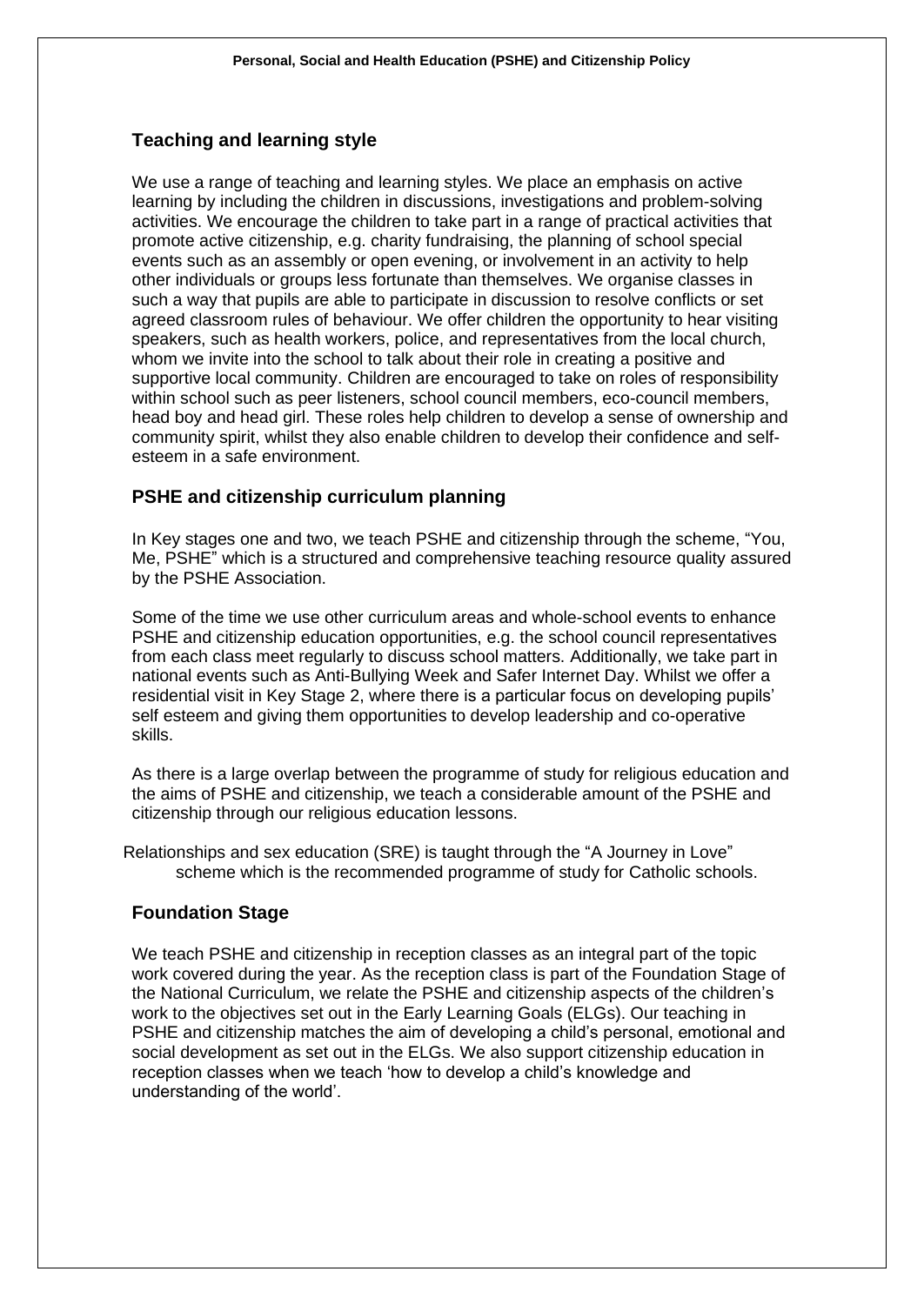# **Teaching and learning style**

We use a range of teaching and learning styles. We place an emphasis on active learning by including the children in discussions, investigations and problem-solving activities. We encourage the children to take part in a range of practical activities that promote active citizenship, e.g. charity fundraising, the planning of school special events such as an assembly or open evening, or involvement in an activity to help other individuals or groups less fortunate than themselves. We organise classes in such a way that pupils are able to participate in discussion to resolve conflicts or set agreed classroom rules of behaviour. We offer children the opportunity to hear visiting speakers, such as health workers, police, and representatives from the local church, whom we invite into the school to talk about their role in creating a positive and supportive local community. Children are encouraged to take on roles of responsibility within school such as peer listeners, school council members, eco-council members, head boy and head girl. These roles help children to develop a sense of ownership and community spirit, whilst they also enable children to develop their confidence and selfesteem in a safe environment.

## **PSHE and citizenship curriculum planning**

In Key stages one and two, we teach PSHE and citizenship through the scheme, "You, Me, PSHE" which is a structured and comprehensive teaching resource quality assured by the PSHE Association.

Some of the time we use other curriculum areas and whole-school events to enhance PSHE and citizenship education opportunities, e.g. the school council representatives from each class meet regularly to discuss school matters. Additionally, we take part in national events such as Anti-Bullying Week and Safer Internet Day. Whilst we offer a residential visit in Key Stage 2, where there is a particular focus on developing pupils' self esteem and giving them opportunities to develop leadership and co-operative skills.

As there is a large overlap between the programme of study for religious education and the aims of PSHE and citizenship, we teach a considerable amount of the PSHE and citizenship through our religious education lessons.

Relationships and sex education (SRE) is taught through the "A Journey in Love" scheme which is the recommended programme of study for Catholic schools.

## **Foundation Stage**

We teach PSHE and citizenship in reception classes as an integral part of the topic work covered during the year. As the reception class is part of the Foundation Stage of the National Curriculum, we relate the PSHE and citizenship aspects of the children's work to the objectives set out in the Early Learning Goals (ELGs). Our teaching in PSHE and citizenship matches the aim of developing a child's personal, emotional and social development as set out in the ELGs. We also support citizenship education in reception classes when we teach 'how to develop a child's knowledge and understanding of the world'.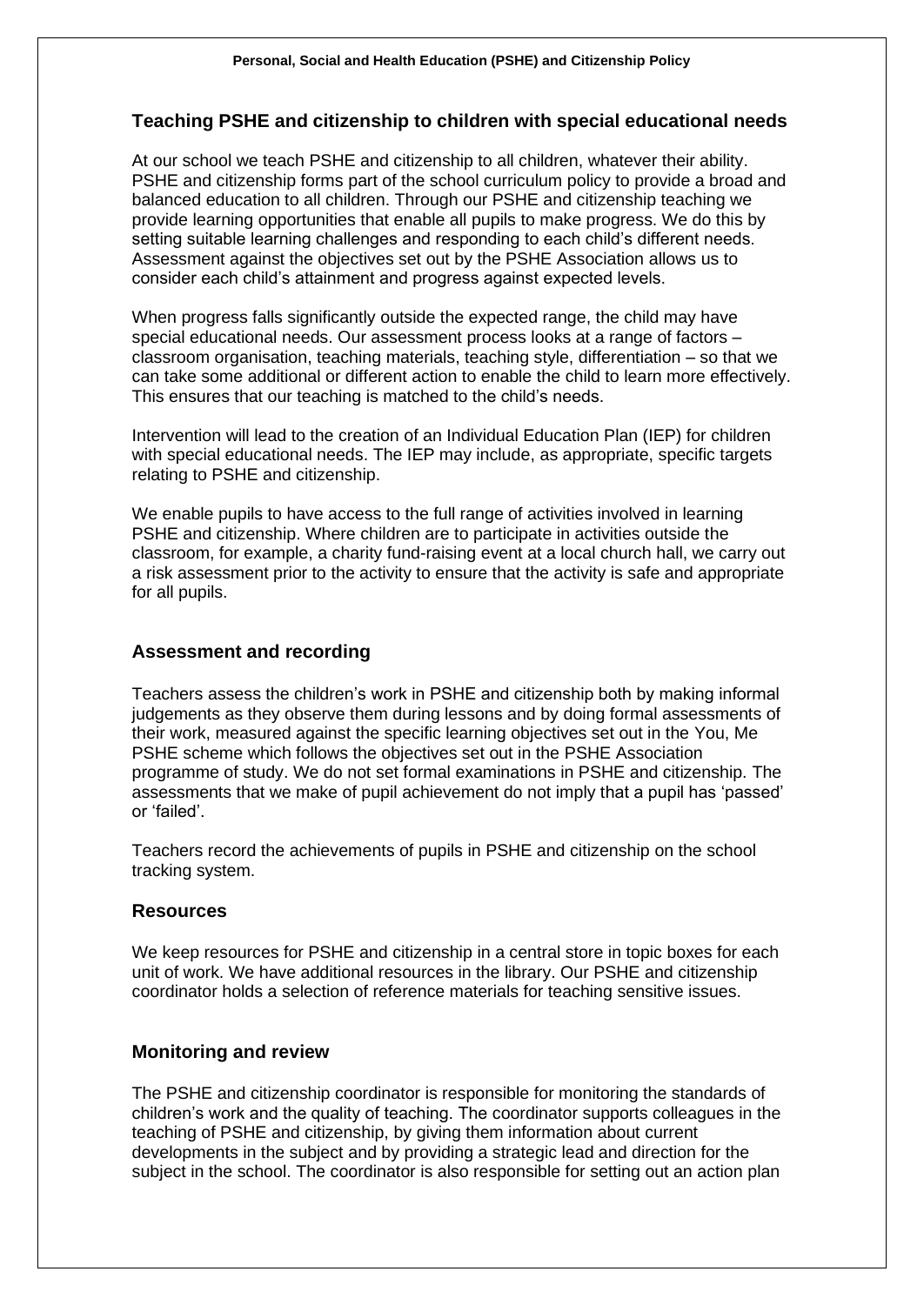#### **Teaching PSHE and citizenship to children with special educational needs**

At our school we teach PSHE and citizenship to all children, whatever their ability. PSHE and citizenship forms part of the school curriculum policy to provide a broad and balanced education to all children. Through our PSHE and citizenship teaching we provide learning opportunities that enable all pupils to make progress. We do this by setting suitable learning challenges and responding to each child's different needs. Assessment against the objectives set out by the PSHE Association allows us to consider each child's attainment and progress against expected levels.

When progress falls significantly outside the expected range, the child may have special educational needs. Our assessment process looks at a range of factors – classroom organisation, teaching materials, teaching style, differentiation – so that we can take some additional or different action to enable the child to learn more effectively. This ensures that our teaching is matched to the child's needs.

Intervention will lead to the creation of an Individual Education Plan (IEP) for children with special educational needs. The IEP may include, as appropriate, specific targets relating to PSHE and citizenship.

We enable pupils to have access to the full range of activities involved in learning PSHE and citizenship. Where children are to participate in activities outside the classroom, for example, a charity fund-raising event at a local church hall, we carry out a risk assessment prior to the activity to ensure that the activity is safe and appropriate for all pupils.

#### **Assessment and recording**

Teachers assess the children's work in PSHE and citizenship both by making informal judgements as they observe them during lessons and by doing formal assessments of their work, measured against the specific learning objectives set out in the You, Me PSHE scheme which follows the objectives set out in the PSHE Association programme of study. We do not set formal examinations in PSHE and citizenship. The assessments that we make of pupil achievement do not imply that a pupil has 'passed' or 'failed'.

Teachers record the achievements of pupils in PSHE and citizenship on the school tracking system.

## **Resources**

We keep resources for PSHE and citizenship in a central store in topic boxes for each unit of work. We have additional resources in the library. Our PSHE and citizenship coordinator holds a selection of reference materials for teaching sensitive issues.

#### **Monitoring and review**

The PSHE and citizenship coordinator is responsible for monitoring the standards of children's work and the quality of teaching. The coordinator supports colleagues in the teaching of PSHE and citizenship, by giving them information about current developments in the subject and by providing a strategic lead and direction for the subject in the school. The coordinator is also responsible for setting out an action plan